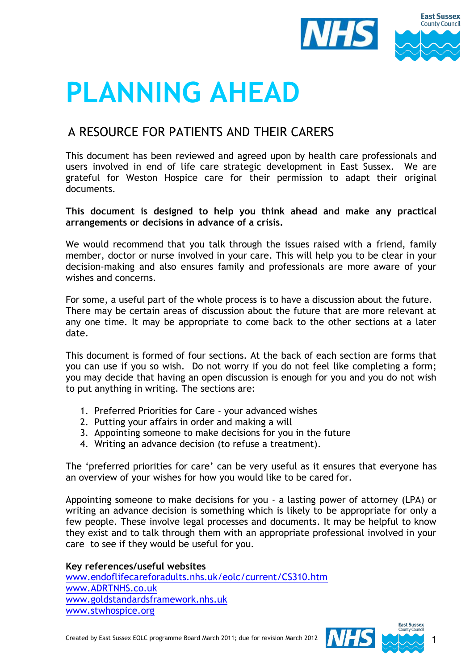

# **PLANNING AHEAD**

## A RESOURCE FOR PATIENTS AND THEIR CARERS

This document has been reviewed and agreed upon by health care professionals and users involved in end of life care strategic development in East Sussex. We are grateful for Weston Hospice care for their permission to adapt their original documents.

**This document is designed to help you think ahead and make any practical arrangements or decisions in advance of a crisis.** 

We would recommend that you talk through the issues raised with a friend, family member, doctor or nurse involved in your care. This will help you to be clear in your decision-making and also ensures family and professionals are more aware of your wishes and concerns.

For some, a useful part of the whole process is to have a discussion about the future. There may be certain areas of discussion about the future that are more relevant at any one time. It may be appropriate to come back to the other sections at a later date.

This document is formed of four sections. At the back of each section are forms that you can use if you so wish. Do not worry if you do not feel like completing a form; you may decide that having an open discussion is enough for you and you do not wish to put anything in writing. The sections are:

- 1. Preferred Priorities for Care your advanced wishes
- 2. Putting your affairs in order and making a will
- 3. Appointing someone to make decisions for you in the future
- 4. Writing an advance decision (to refuse a treatment).

The 'preferred priorities for care' can be very useful as it ensures that everyone has an overview of your wishes for how you would like to be cared for.

Appointing someone to make decisions for you - a lasting power of attorney (LPA) or writing an advance decision is something which is likely to be appropriate for only a few people. These involve legal processes and documents. It may be helpful to know they exist and to talk through them with an appropriate professional involved in your care to see if they would be useful for you.

**Key references/useful websites** [www.endoflifecareforadults.nhs.uk/eolc/current/CS310.htm](http://www.endoflifecareforadults.nhs.uk/eolc/current/CS310.htm) [www.ADRTNHS.co.uk](http://www.adrtnhs.co.uk/) [www.goldstandardsframework.nhs.uk](http://www.goldstandardsframework.nhs.uk/)  [www.stwhospice.org](http://www.stwhospice.org/)

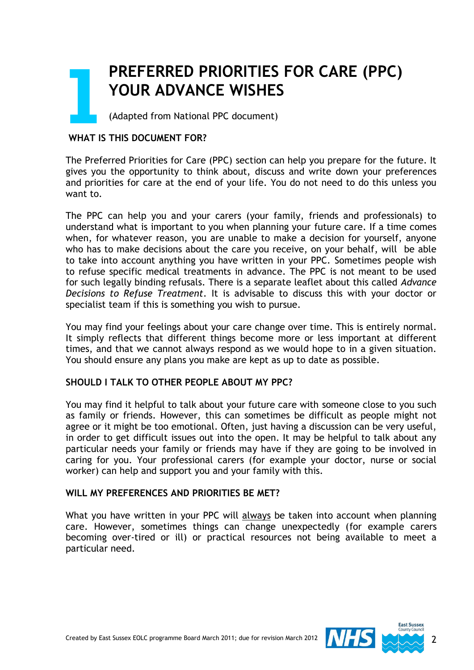## **PREFERRED PRIORITIES FOR CARE (PPC) YOUR ADVANCE WISHES PR**<br>
YC<br>
Add

(Adapted from National PPC document)

## **WHAT IS THIS DOCUMENT FOR?**

The Preferred Priorities for Care (PPC) section can help you prepare for the future. It gives you the opportunity to think about, discuss and write down your preferences and priorities for care at the end of your life. You do not need to do this unless you want to.

The PPC can help you and your carers (your family, friends and professionals) to understand what is important to you when planning your future care. If a time comes when, for whatever reason, you are unable to make a decision for yourself, anyone who has to make decisions about the care you receive, on your behalf, will be able to take into account anything you have written in your PPC. Sometimes people wish to refuse specific medical treatments in advance. The PPC is not meant to be used for such legally binding refusals. There is a separate leaflet about this called *Advance Decisions to Refuse Treatment*. It is advisable to discuss this with your doctor or specialist team if this is something you wish to pursue.

You may find your feelings about your care change over time. This is entirely normal. It simply reflects that different things become more or less important at different times, and that we cannot always respond as we would hope to in a given situation. You should ensure any plans you make are kept as up to date as possible.

## **SHOULD I TALK TO OTHER PEOPLE ABOUT MY PPC?**

You may find it helpful to talk about your future care with someone close to you such as family or friends. However, this can sometimes be difficult as people might not agree or it might be too emotional. Often, just having a discussion can be very useful, in order to get difficult issues out into the open. It may be helpful to talk about any particular needs your family or friends may have if they are going to be involved in caring for you. Your professional carers (for example your doctor, nurse or social worker) can help and support you and your family with this.

#### **WILL MY PREFERENCES AND PRIORITIES BE MET?**

What you have written in your PPC will always be taken into account when planning care. However, sometimes things can change unexpectedly (for example carers becoming over-tired or ill) or practical resources not being available to meet a particular need.

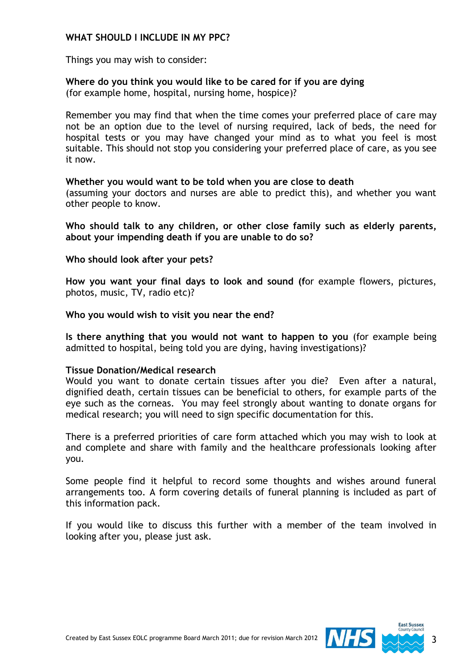### **WHAT SHOULD I INCLUDE IN MY PPC?**

Things you may wish to consider:

## **Where do you think you would like to be cared for if you are dying**

(for example home, hospital, nursing home, hospice)?

Remember you may find that when the time comes your preferred place of care may not be an option due to the level of nursing required, lack of beds, the need for hospital tests or you may have changed your mind as to what you feel is most suitable. This should not stop you considering your preferred place of care, as you see it now.

### **Whether you would want to be told when you are close to death**

(assuming your doctors and nurses are able to predict this), and whether you want other people to know.

**Who should talk to any children, or other close family such as elderly parents, about your impending death if you are unable to do so?**

#### **Who should look after your pets?**

**How you want your final days to look and sound (f**or example flowers, pictures, photos, music, TV, radio etc)?

**Who you would wish to visit you near the end?**

**Is there anything that you would not want to happen to you** (for example being admitted to hospital, being told you are dying, having investigations)?

#### **Tissue Donation/Medical research**

Would you want to donate certain tissues after you die? Even after a natural, dignified death, certain tissues can be beneficial to others, for example parts of the eye such as the corneas. You may feel strongly about wanting to donate organs for medical research; you will need to sign specific documentation for this.

There is a preferred priorities of care form attached which you may wish to look at and complete and share with family and the healthcare professionals looking after you.

Some people find it helpful to record some thoughts and wishes around funeral arrangements too. A form covering details of funeral planning is included as part of this information pack.

If you would like to discuss this further with a member of the team involved in looking after you, please just ask.

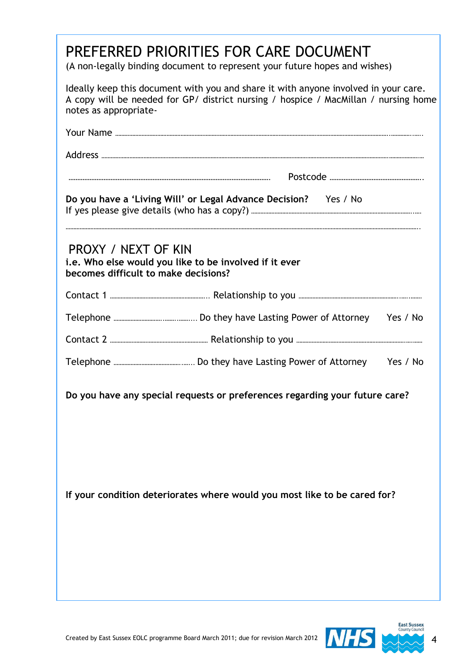| PREFERRED PRIORITIES FOR CARE DOCUMENT<br>(A non-legally binding document to represent your future hopes and wishes)                                                                                |                                                                             |  |
|-----------------------------------------------------------------------------------------------------------------------------------------------------------------------------------------------------|-----------------------------------------------------------------------------|--|
| Ideally keep this document with you and share it with anyone involved in your care.<br>A copy will be needed for GP/ district nursing / hospice / MacMillan / nursing home<br>notes as appropriate- |                                                                             |  |
|                                                                                                                                                                                                     |                                                                             |  |
|                                                                                                                                                                                                     |                                                                             |  |
|                                                                                                                                                                                                     |                                                                             |  |
| Do you have a 'Living Will' or Legal Advance Decision? Yes / No                                                                                                                                     |                                                                             |  |
| <b>PROXY / NEXT OF KIN</b><br>becomes difficult to make decisions?                                                                                                                                  | i.e. Who else would you like to be involved if it ever                      |  |
|                                                                                                                                                                                                     |                                                                             |  |
|                                                                                                                                                                                                     |                                                                             |  |
|                                                                                                                                                                                                     |                                                                             |  |
|                                                                                                                                                                                                     |                                                                             |  |
|                                                                                                                                                                                                     | Do you have any special requests or preferences regarding your future care? |  |
|                                                                                                                                                                                                     | If your condition deteriorates where would you most like to be cared for?   |  |

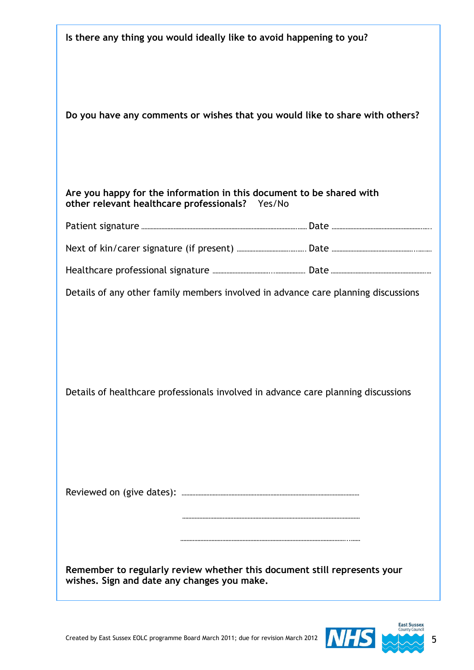| Is there any thing you would ideally like to avoid happening to you?                                                    |  |  |
|-------------------------------------------------------------------------------------------------------------------------|--|--|
| Do you have any comments or wishes that you would like to share with others?                                            |  |  |
| Are you happy for the information in this document to be shared with<br>other relevant healthcare professionals? Yes/No |  |  |
|                                                                                                                         |  |  |
|                                                                                                                         |  |  |
|                                                                                                                         |  |  |
| Details of any other family members involved in advance care planning discussions                                       |  |  |
| Details of healthcare professionals involved in advance care planning discussions                                       |  |  |
| Remember to regularly review whether this document still represents your<br>wishes. Sign and date any changes you make. |  |  |

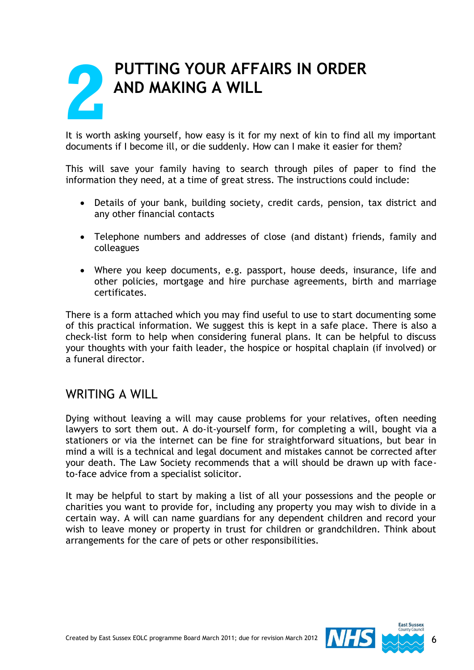## **PUTTING YOUR AFFAIRS IN ORDER AND MAKING A WILL 2**

It is worth asking yourself, how easy is it for my next of kin to find all my important documents if I become ill, or die suddenly. How can I make it easier for them?

This will save your family having to search through piles of paper to find the information they need, at a time of great stress. The instructions could include:

- Details of your bank, building society, credit cards, pension, tax district and any other financial contacts
- Telephone numbers and addresses of close (and distant) friends, family and colleagues
- Where you keep documents, e.g. passport, house deeds, insurance, life and other policies, mortgage and hire purchase agreements, birth and marriage certificates.

There is a form attached which you may find useful to use to start documenting some of this practical information. We suggest this is kept in a safe place. There is also a check-list form to help when considering funeral plans. It can be helpful to discuss your thoughts with your faith leader, the hospice or hospital chaplain (if involved) or a funeral director.

## WRITING A WILL

Dying without leaving a will may cause problems for your relatives, often needing lawyers to sort them out. A do-it-yourself form, for completing a will, bought via a stationers or via the internet can be fine for straightforward situations, but bear in mind a will is a technical and legal document and mistakes cannot be corrected after your death. The Law Society recommends that a will should be drawn up with faceto-face advice from a specialist solicitor.

It may be helpful to start by making a list of all your possessions and the people or charities you want to provide for, including any property you may wish to divide in a certain way. A will can name guardians for any dependent children and record your wish to leave money or property in trust for children or grandchildren. Think about arrangements for the care of pets or other responsibilities.

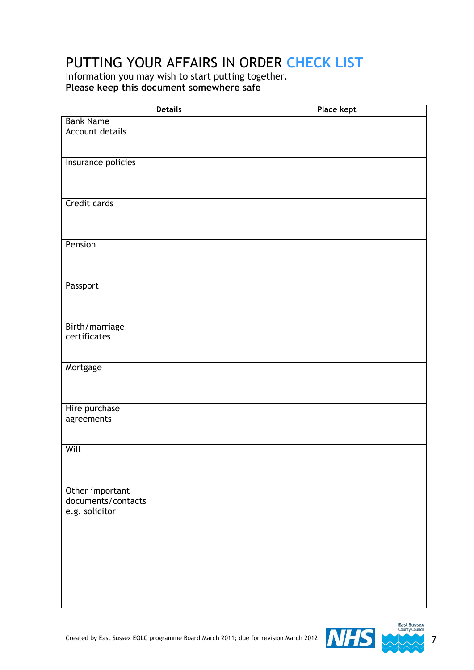## PUTTING YOUR AFFAIRS IN ORDER **CHECK LIST**

Information you may wish to start putting together. **Please keep this document somewhere safe**

|                    | <b>Details</b> | <b>Place kept</b> |
|--------------------|----------------|-------------------|
| <b>Bank Name</b>   |                |                   |
| Account details    |                |                   |
|                    |                |                   |
|                    |                |                   |
| Insurance policies |                |                   |
|                    |                |                   |
|                    |                |                   |
| Credit cards       |                |                   |
|                    |                |                   |
|                    |                |                   |
|                    |                |                   |
| Pension            |                |                   |
|                    |                |                   |
|                    |                |                   |
| Passport           |                |                   |
|                    |                |                   |
|                    |                |                   |
|                    |                |                   |
| Birth/marriage     |                |                   |
| certificates       |                |                   |
|                    |                |                   |
| Mortgage           |                |                   |
|                    |                |                   |
|                    |                |                   |
|                    |                |                   |
| Hire purchase      |                |                   |
| agreements         |                |                   |
|                    |                |                   |
| Will               |                |                   |
|                    |                |                   |
|                    |                |                   |
|                    |                |                   |
| Other important    |                |                   |
| documents/contacts |                |                   |
| e.g. solicitor     |                |                   |
|                    |                |                   |
|                    |                |                   |
|                    |                |                   |
|                    |                |                   |
|                    |                |                   |
|                    |                |                   |
|                    |                |                   |
|                    |                |                   |

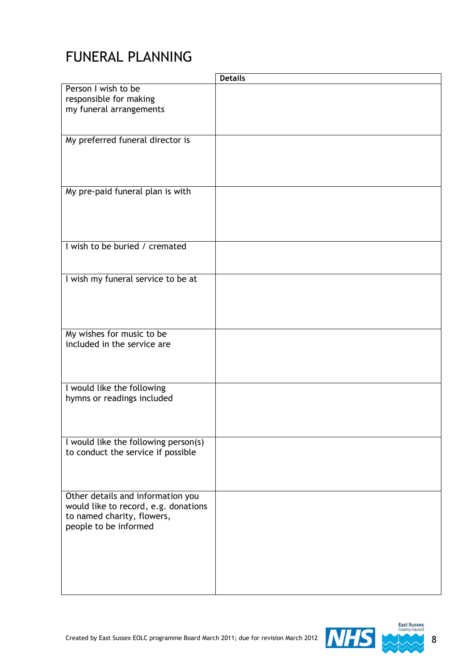## FUNERAL PLANNING

|                                                                                                                                  | <b>Details</b> |
|----------------------------------------------------------------------------------------------------------------------------------|----------------|
| Person I wish to be<br>responsible for making<br>my funeral arrangements                                                         |                |
|                                                                                                                                  |                |
| My preferred funeral director is                                                                                                 |                |
| My pre-paid funeral plan is with                                                                                                 |                |
| I wish to be buried / cremated                                                                                                   |                |
| I wish my funeral service to be at                                                                                               |                |
| My wishes for music to be<br>included in the service are                                                                         |                |
| I would like the following<br>hymns or readings included                                                                         |                |
| I would like the following person(s)<br>to conduct the service if possible                                                       |                |
| Other details and information you<br>would like to record, e.g. donations<br>to named charity, flowers,<br>people to be informed |                |

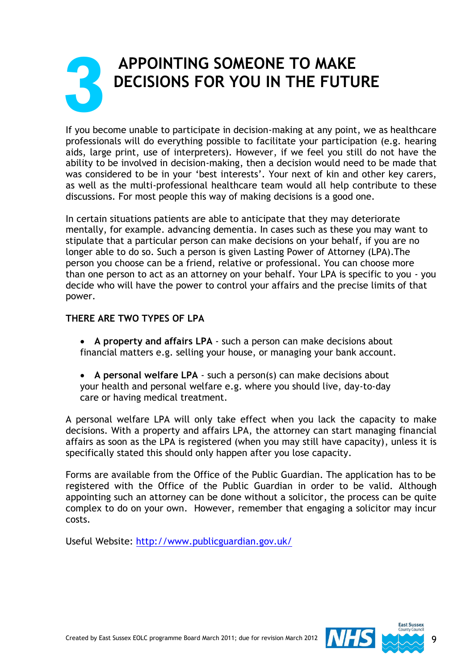## **APPOINTING SOMEONE TO MAKE DECISIONS FOR YOU IN THE FUTURE 3**

If you become unable to participate in decision-making at any point, we as healthcare professionals will do everything possible to facilitate your participation (e.g. hearing aids, large print, use of interpreters). However, if we feel you still do not have the ability to be involved in decision-making, then a decision would need to be made that was considered to be in your 'best interests'. Your next of kin and other key carers, as well as the multi-professional healthcare team would all help contribute to these discussions. For most people this way of making decisions is a good one.

In certain situations patients are able to anticipate that they may deteriorate mentally, for example. advancing dementia. In cases such as these you may want to stipulate that a particular person can make decisions on your behalf, if you are no longer able to do so. Such a person is given Lasting Power of Attorney (LPA).The person you choose can be a friend, relative or professional. You can choose more than one person to act as an attorney on your behalf. Your LPA is specific to you - you decide who will have the power to control your affairs and the precise limits of that power.

## **THERE ARE TWO TYPES OF LPA**

- **A property and affairs LPA** such a person can make decisions about financial matters e.g. selling your house, or managing your bank account.
- **A personal welfare LPA** such a person(s) can make decisions about your health and personal welfare e.g. where you should live, day-to-day care or having medical treatment.

A personal welfare LPA will only take effect when you lack the capacity to make decisions. With a property and affairs LPA, the attorney can start managing financial affairs as soon as the LPA is registered (when you may still have capacity), unless it is specifically stated this should only happen after you lose capacity.

Forms are available from the Office of the Public Guardian. The application has to be registered with the Office of the Public Guardian in order to be valid. Although appointing such an attorney can be done without a solicitor, the process can be quite complex to do on your own. However, remember that engaging a solicitor may incur costs.

Useful Website:<http://www.publicguardian.gov.uk/>

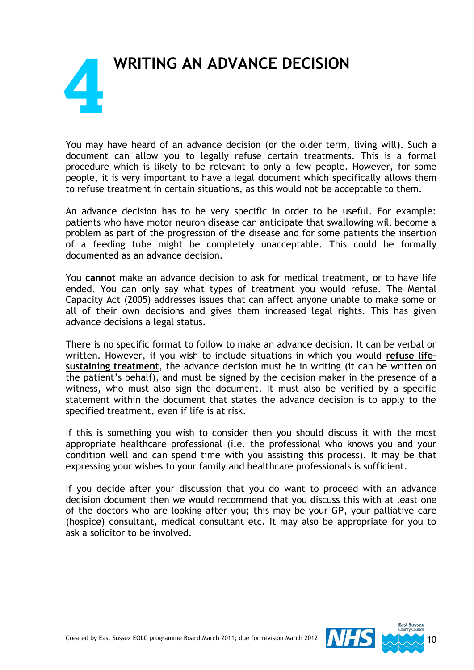## **WRITING AN ADVANCE DECISION** I **4**

You may have heard of an advance decision (or the older term, living will). Such a document can allow you to legally refuse certain treatments. This is a formal procedure which is likely to be relevant to only a few people. However, for some people, it is very important to have a legal document which specifically allows them to refuse treatment in certain situations, as this would not be acceptable to them.

An advance decision has to be very specific in order to be useful. For example: patients who have motor neuron disease can anticipate that swallowing will become a problem as part of the progression of the disease and for some patients the insertion of a feeding tube might be completely unacceptable. This could be formally documented as an advance decision.

You **cannot** make an advance decision to ask for medical treatment, or to have life ended. You can only say what types of treatment you would refuse. The Mental Capacity Act (2005) addresses issues that can affect anyone unable to make some or all of their own decisions and gives them increased legal rights. This has given advance decisions a legal status.

There is no specific format to follow to make an advance decision. It can be verbal or written. However, if you wish to include situations in which you would **refuse lifesustaining treatment**, the advance decision must be in writing (it can be written on the patient's behalf), and must be signed by the decision maker in the presence of a witness, who must also sign the document. It must also be verified by a specific statement within the document that states the advance decision is to apply to the specified treatment, even if life is at risk.

If this is something you wish to consider then you should discuss it with the most appropriate healthcare professional (i.e. the professional who knows you and your condition well and can spend time with you assisting this process). It may be that expressing your wishes to your family and healthcare professionals is sufficient.

If you decide after your discussion that you do want to proceed with an advance decision document then we would recommend that you discuss this with at least one of the doctors who are looking after you; this may be your GP, your palliative care (hospice) consultant, medical consultant etc. It may also be appropriate for you to ask a solicitor to be involved.

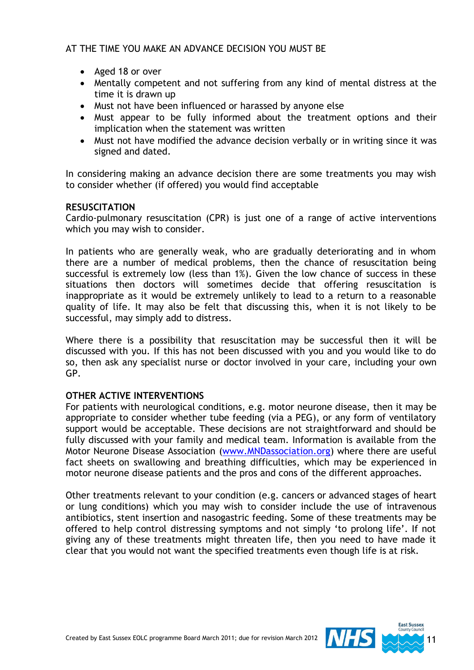### AT THE TIME YOU MAKE AN ADVANCE DECISION YOU MUST BE

- Aged 18 or over
- Mentally competent and not suffering from any kind of mental distress at the time it is drawn up
- Must not have been influenced or harassed by anyone else
- Must appear to be fully informed about the treatment options and their implication when the statement was written
- Must not have modified the advance decision verbally or in writing since it was signed and dated.

In considering making an advance decision there are some treatments you may wish to consider whether (if offered) you would find acceptable

#### **RESUSCITATION**

Cardio-pulmonary resuscitation (CPR) is just one of a range of active interventions which you may wish to consider.

In patients who are generally weak, who are gradually deteriorating and in whom there are a number of medical problems, then the chance of resuscitation being successful is extremely low (less than 1%). Given the low chance of success in these situations then doctors will sometimes decide that offering resuscitation is inappropriate as it would be extremely unlikely to lead to a return to a reasonable quality of life. It may also be felt that discussing this, when it is not likely to be successful, may simply add to distress.

Where there is a possibility that resuscitation may be successful then it will be discussed with you. If this has not been discussed with you and you would like to do so, then ask any specialist nurse or doctor involved in your care, including your own GP.

#### **OTHER ACTIVE INTERVENTIONS**

For patients with neurological conditions, e.g. motor neurone disease, then it may be appropriate to consider whether tube feeding (via a PEG), or any form of ventilatory support would be acceptable. These decisions are not straightforward and should be fully discussed with your family and medical team. Information is available from the Motor Neurone Disease Association [\(www.MNDassociation.org\)](http://www.mndassociation.org/) where there are useful fact sheets on swallowing and breathing difficulties, which may be experienced in motor neurone disease patients and the pros and cons of the different approaches.

Other treatments relevant to your condition (e.g. cancers or advanced stages of heart or lung conditions) which you may wish to consider include the use of intravenous antibiotics, stent insertion and nasogastric feeding. Some of these treatments may be offered to help control distressing symptoms and not simply 'to prolong life'. If not giving any of these treatments might threaten life, then you need to have made it clear that you would not want the specified treatments even though life is at risk.

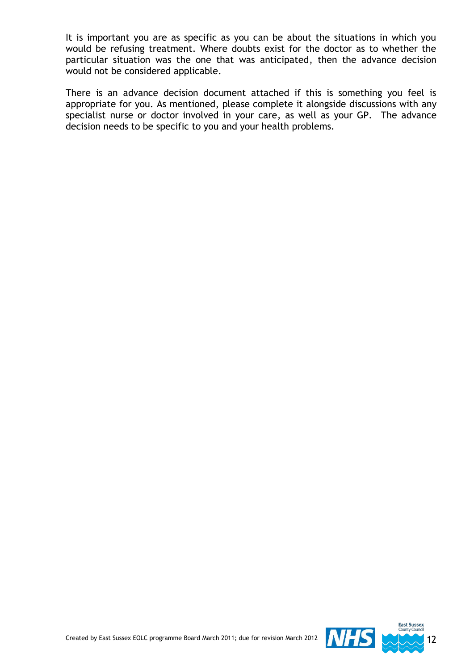It is important you are as specific as you can be about the situations in which you would be refusing treatment. Where doubts exist for the doctor as to whether the particular situation was the one that was anticipated, then the advance decision would not be considered applicable.

There is an advance decision document attached if this is something you feel is appropriate for you. As mentioned, please complete it alongside discussions with any specialist nurse or doctor involved in your care, as well as your GP. The advance decision needs to be specific to you and your health problems.

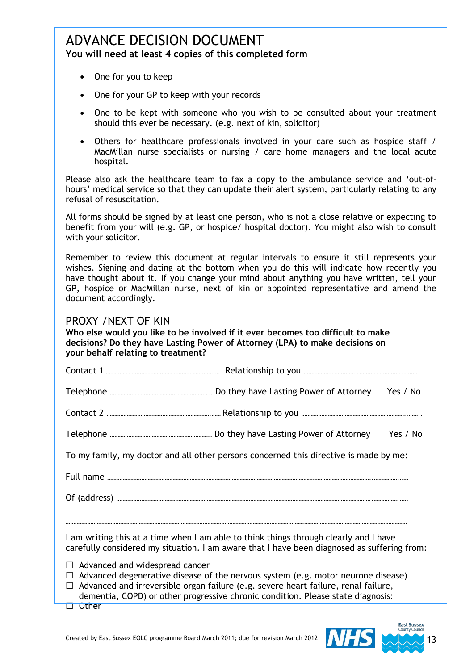## ADVANCE DECISION DOCUMENT **You will need at least 4 copies of this completed form**

- One for you to keep
- One for your GP to keep with your records
- One to be kept with someone who you wish to be consulted about your treatment should this ever be necessary. (e.g. next of kin, solicitor)
- Others for healthcare professionals involved in your care such as hospice staff / MacMillan nurse specialists or nursing / care home managers and the local acute hospital.

Please also ask the healthcare team to fax a copy to the ambulance service and 'out-ofhours' medical service so that they can update their alert system, particularly relating to any refusal of resuscitation.

All forms should be signed by at least one person, who is not a close relative or expecting to benefit from your will (e.g. GP, or hospice/ hospital doctor). You might also wish to consult with your solicitor.

Remember to review this document at regular intervals to ensure it still represents your wishes. Signing and dating at the bottom when you do this will indicate how recently you have thought about it. If you change your mind about anything you have written, tell your GP, hospice or MacMillan nurse, next of kin or appointed representative and amend the document accordingly.

## PROXY /NEXT OF KIN

**Who else would you like to be involved if it ever becomes too difficult to make decisions? Do they have Lasting Power of Attorney (LPA) to make decisions on your behalf relating to treatment?**

| Contact 1 |  |
|-----------|--|
|-----------|--|

Telephone …………………………………….………………... Do they have Lasting Power of Attorney Yes / No

Contact 2 ………………………………………………………….…… Relationship to you …………………………………………………………..……..

Telephone ……………………………………………………….. Do they have Lasting Power of Attorney Yes / No

To my family, my doctor and all other persons concerned this directive is made by me:

Full name ……………………………………………………………………………………………………………………………………………………..……………..….

Of (address) ………………………………………………………………………………………………………………………………………………..……………..….

…………………………………………………………………………………………………………………………………………………………………………………………………

I am writing this at a time when I am able to think things through clearly and I have carefully considered my situation. I am aware that I have been diagnosed as suffering from:

- $\Box$  Advanced and widespread cancer
- $\Box$  Advanced degenerative disease of the nervous system (e.g. motor neurone disease)
- $\Box$  Advanced and irreversible organ failure (e.g. severe heart failure, renal failure, dementia, COPD) or other progressive chronic condition. Please state diagnosis:
- □ Other

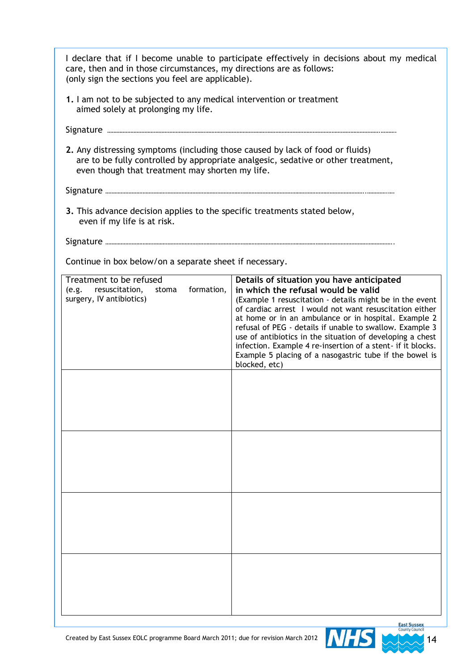| care, then and in those circumstances, my directions are as follows:<br>(only sign the sections you feel are applicable).         | I declare that if I become unable to participate effectively in decisions about my medical                                                                                                                                                                                                                                                                                                                                                                                                                                          |
|-----------------------------------------------------------------------------------------------------------------------------------|-------------------------------------------------------------------------------------------------------------------------------------------------------------------------------------------------------------------------------------------------------------------------------------------------------------------------------------------------------------------------------------------------------------------------------------------------------------------------------------------------------------------------------------|
| 1. I am not to be subjected to any medical intervention or treatment<br>aimed solely at prolonging my life.                       |                                                                                                                                                                                                                                                                                                                                                                                                                                                                                                                                     |
|                                                                                                                                   |                                                                                                                                                                                                                                                                                                                                                                                                                                                                                                                                     |
| 2. Any distressing symptoms (including those caused by lack of food or fluids)<br>even though that treatment may shorten my life. | are to be fully controlled by appropriate analgesic, sedative or other treatment,                                                                                                                                                                                                                                                                                                                                                                                                                                                   |
|                                                                                                                                   |                                                                                                                                                                                                                                                                                                                                                                                                                                                                                                                                     |
| 3. This advance decision applies to the specific treatments stated below,<br>even if my life is at risk.                          |                                                                                                                                                                                                                                                                                                                                                                                                                                                                                                                                     |
|                                                                                                                                   |                                                                                                                                                                                                                                                                                                                                                                                                                                                                                                                                     |
| Continue in box below/on a separate sheet if necessary.                                                                           |                                                                                                                                                                                                                                                                                                                                                                                                                                                                                                                                     |
| Treatment to be refused<br>formation,<br>resuscitation,<br>(e.g.<br>stoma<br>surgery, IV antibiotics)                             | Details of situation you have anticipated<br>in which the refusal would be valid<br>(Example 1 resuscitation - details might be in the event<br>of cardiac arrest I would not want resuscitation either<br>at home or in an ambulance or in hospital. Example 2<br>refusal of PEG - details if unable to swallow. Example 3<br>use of antibiotics in the situation of developing a chest<br>infection. Example 4 re-insertion of a stent- if it blocks.<br>Example 5 placing of a nasogastric tube if the bowel is<br>blocked, etc) |
|                                                                                                                                   |                                                                                                                                                                                                                                                                                                                                                                                                                                                                                                                                     |
|                                                                                                                                   |                                                                                                                                                                                                                                                                                                                                                                                                                                                                                                                                     |
|                                                                                                                                   |                                                                                                                                                                                                                                                                                                                                                                                                                                                                                                                                     |
|                                                                                                                                   |                                                                                                                                                                                                                                                                                                                                                                                                                                                                                                                                     |
|                                                                                                                                   |                                                                                                                                                                                                                                                                                                                                                                                                                                                                                                                                     |
|                                                                                                                                   |                                                                                                                                                                                                                                                                                                                                                                                                                                                                                                                                     |
|                                                                                                                                   |                                                                                                                                                                                                                                                                                                                                                                                                                                                                                                                                     |

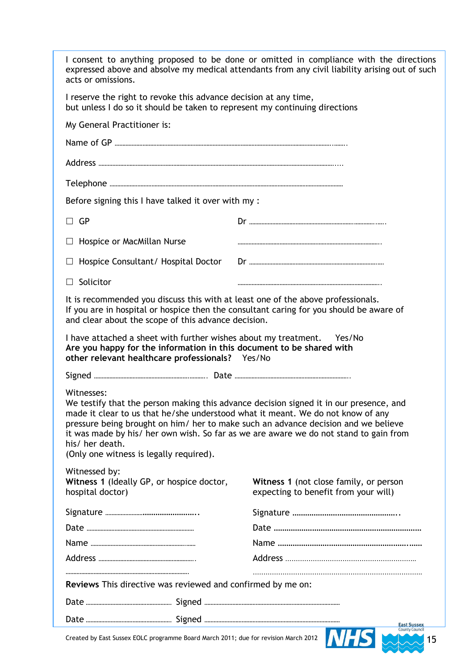| acts or omissions.                                                                                                                                          | I consent to anything proposed to be done or omitted in compliance with the directions<br>expressed above and absolve my medical attendants from any civil liability arising out of such                                                                              |
|-------------------------------------------------------------------------------------------------------------------------------------------------------------|-----------------------------------------------------------------------------------------------------------------------------------------------------------------------------------------------------------------------------------------------------------------------|
| I reserve the right to revoke this advance decision at any time,<br>but unless I do so it should be taken to represent my continuing directions             |                                                                                                                                                                                                                                                                       |
| My General Practitioner is:                                                                                                                                 |                                                                                                                                                                                                                                                                       |
|                                                                                                                                                             |                                                                                                                                                                                                                                                                       |
|                                                                                                                                                             |                                                                                                                                                                                                                                                                       |
|                                                                                                                                                             |                                                                                                                                                                                                                                                                       |
| Before signing this I have talked it over with my :                                                                                                         |                                                                                                                                                                                                                                                                       |
| $\Box$ GP                                                                                                                                                   |                                                                                                                                                                                                                                                                       |
| Hospice or MacMillan Nurse<br>$\Box$                                                                                                                        |                                                                                                                                                                                                                                                                       |
| Hospice Consultant/ Hospital Doctor                                                                                                                         |                                                                                                                                                                                                                                                                       |
| $\Box$ Solicitor                                                                                                                                            |                                                                                                                                                                                                                                                                       |
| It is recommended you discuss this with at least one of the above professionals.<br>and clear about the scope of this advance decision.                     | If you are in hospital or hospice then the consultant caring for you should be aware of                                                                                                                                                                               |
| I have attached a sheet with further wishes about my treatment. Yes/No                                                                                      |                                                                                                                                                                                                                                                                       |
| Are you happy for the information in this document to be shared with<br>other relevant healthcare professionals? Yes/No                                     |                                                                                                                                                                                                                                                                       |
|                                                                                                                                                             |                                                                                                                                                                                                                                                                       |
| Witnesses:<br>made it clear to us that he/she understood what it meant. We do not know of any<br>his/ her death.<br>(Only one witness is legally required). | We testify that the person making this advance decision signed it in our presence, and<br>pressure being brought on him/ her to make such an advance decision and we believe<br>it was made by his/ her own wish. So far as we are aware we do not stand to gain from |
| Witnessed by:                                                                                                                                               |                                                                                                                                                                                                                                                                       |
| Witness 1 (Ideally GP, or hospice doctor,<br>hospital doctor)                                                                                               | Witness 1 (not close family, or person<br>expecting to benefit from your will)                                                                                                                                                                                        |
|                                                                                                                                                             |                                                                                                                                                                                                                                                                       |
|                                                                                                                                                             |                                                                                                                                                                                                                                                                       |
|                                                                                                                                                             |                                                                                                                                                                                                                                                                       |
|                                                                                                                                                             |                                                                                                                                                                                                                                                                       |
|                                                                                                                                                             |                                                                                                                                                                                                                                                                       |
| Reviews This directive was reviewed and confirmed by me on:                                                                                                 |                                                                                                                                                                                                                                                                       |
|                                                                                                                                                             |                                                                                                                                                                                                                                                                       |

Created by East Sussex EOLC programme Board March 2011; due for revision March 2012 19 19 19 19 19 19 19 19 19